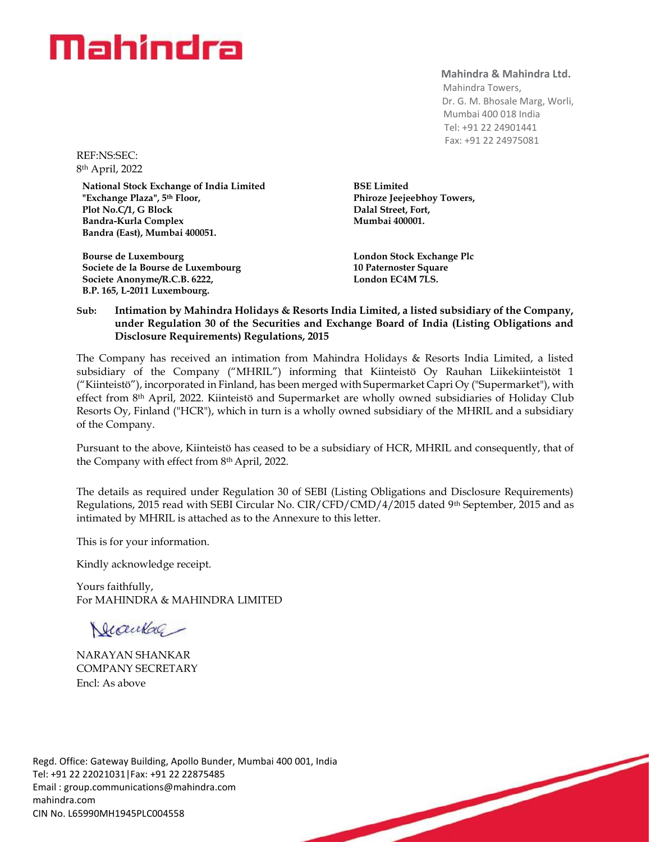# Mahindra

**Mahindra & Mahindra Ltd.**

 Mahindra Towers, Dr. G. M. Bhosale Marg, Worli, Mumbai 400 018 India Tel: +91 22 24901441 Fax: +91 22 24975081

REF:NS:SEC: 8 th April, 2022

**National Stock Exchange of India Limited "Exchange Plaza", 5th Floor, Plot No.C/1, G Block Bandra-Kurla Complex Bandra (East), Mumbai 400051.**

**Bourse de Luxembourg Societe de la Bourse de Luxembourg Societe Anonyme/R.C.B. 6222, B.P. 165, L-2011 Luxembourg.**

**BSE Limited Phiroze Jeejeebhoy Towers, Dalal Street, Fort, Mumbai 400001.**

**London Stock Exchange Plc 10 Paternoster Square London EC4M 7LS.**

## **Sub: Intimation by Mahindra Holidays & Resorts India Limited, a listed subsidiary of the Company, under Regulation 30 of the Securities and Exchange Board of India (Listing Obligations and Disclosure Requirements) Regulations, 2015**

The Company has received an intimation from Mahindra Holidays & Resorts India Limited, a listed subsidiary of the Company ("MHRIL") informing that Kiinteistö Oy Rauhan Liikekiinteistöt 1 ("Kiinteistö"), incorporated in Finland, has been merged with Supermarket Capri Oy ("Supermarket"), with effect from 8th April, 2022. Kiinteistö and Supermarket are wholly owned subsidiaries of Holiday Club Resorts Oy, Finland ("HCR"), which in turn is a wholly owned subsidiary of the MHRIL and a subsidiary of the Company.

Pursuant to the above, Kiinteistö has ceased to be a subsidiary of HCR, MHRIL and consequently, that of the Company with effect from 8 th April, 2022.

The details as required under Regulation 30 of SEBI (Listing Obligations and Disclosure Requirements) Regulations, 2015 read with SEBI Circular No. CIR/CFD/CMD/4/2015 dated 9th September, 2015 and as intimated by MHRIL is attached as to the Annexure to this letter.

This is for your information.

Kindly acknowledge receipt.

Yours faithfully, For MAHINDRA & MAHINDRA LIMITED

Neceulac

NARAYAN SHANKAR COMPANY SECRETARY Encl: As above

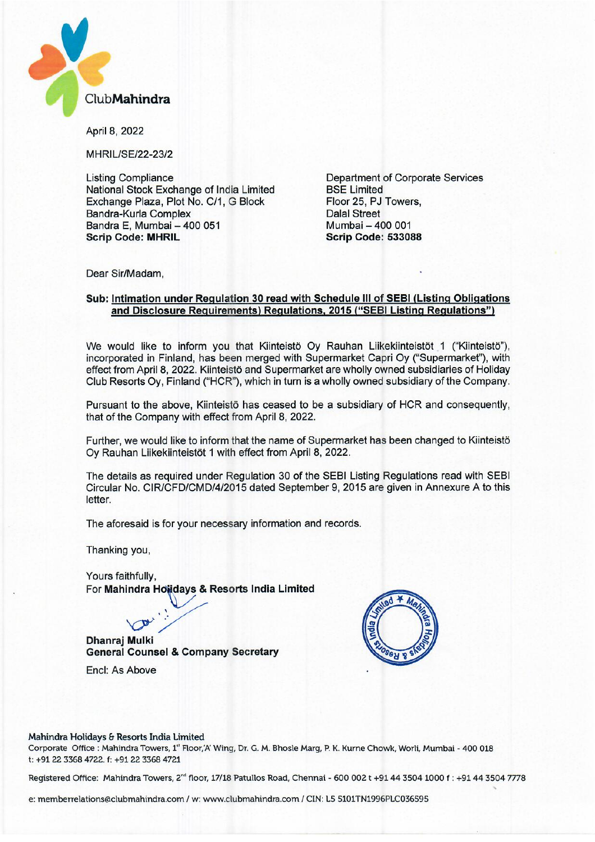

April 8, 2022

MHRIL/SE/22-23/2

Listing Compliance National Stock Exchange of India Limited Exchange Plaza, Plot No. C/1, G Block Bandra-Kurla Complex Bandra E, Mumbai — 400 051 Scrip Code: MHRIL

Department of Corporate Services BSE Limited Floor 25, PJ Towers, Dalai Street Mumbai — 400 001 Scrip Code: 533088

Dear Sir/Madam,

## Sub: Intimation under Regulation 30 read with Schedule III of SEBI (Listing Obligations and Disclosure Requirements) Regulations, 2015 ("SEBI Listing Regulations")

We would like to inform you that Kiinteistö Oy Rauhan Liikekiinteistöt 1 ("Kiinteistö"), incorporated in Finland, has been merged with Supermarket Capri Oy ("Supermarket"), with effect from April 8, 2022. Kiinteistö and Supermarket are wholly owned subsidiaries of Holiday Club Resorts Oy, Finland ("HCR"), which in turn is a wholly owned subsidiary of the Company.

Pursuant to the above, Kiinteistö has ceased to be a subsidiary of HCR and consequently, that of the Company with effect from April 8, 2022.

Further, we would like to inform that the name of Supermarket has been changed to Kiinteistö Oy Rauhan Liikekiinteistöt 1 with effect from April 8, 2022.

The details as required under Regulation 30 of the SEBI Listing Regulations read with SEBI Circular No. CIR/CFD/CMD/4/2015 dated September 9, 2015 are given in Annexure A to this letter.

The aforesaid is for your necessary information and records.

Thanking you,

Yours faithfully, For Mahindra Holidays & Resorts India Limited

 $\sqrt{2}$ Dhanraj Mulki General Counsel & Company Secretary

•



Encl: As Above

#### Mahindra Holidays & Resorts India Limited

Corporate Office : Mahindra Towers, 1' Floor,'A' Wing, Dr. G. M. Bhosle Marg, P. K. Kurne Chowk, Wont, Mumbai - 400 018 t: +91 22 3368 4722. f: +91 22 3368 4721

Registered Office: Mahindra Towers, 2<sup>nd</sup> floor, 17/18 Patullos Road, Chennai - 600 002 t +91 44 3504 1000 f : +91 44 3504 7778

e: memberrelations@clubmahindra.com / w: www.clubmahindra.com / CIN: L5 5101TN1996PLC036595